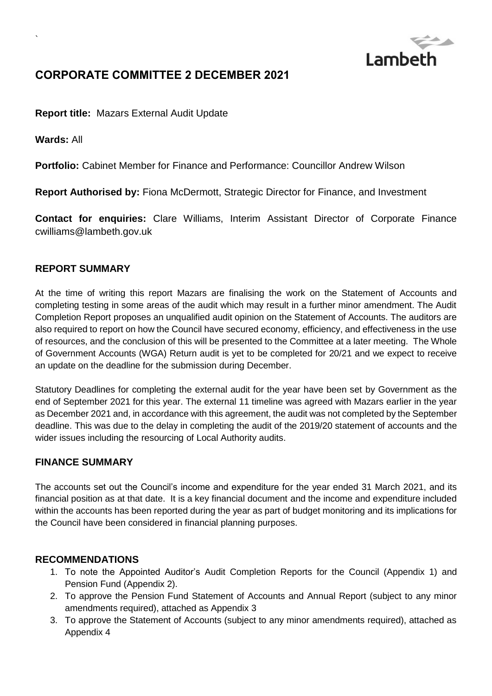

# **CORPORATE COMMITTEE 2 DECEMBER 2021**

**Report title:** Mazars External Audit Update

**Wards:** All

`

**Portfolio:** Cabinet Member for Finance and Performance: Councillor Andrew Wilson

**Report Authorised by:** Fiona McDermott, Strategic Director for Finance, and Investment

**Contact for enquiries:** Clare Williams, Interim Assistant Director of Corporate Finance cwilliams@lambeth.gov.uk

#### **REPORT SUMMARY**

At the time of writing this report Mazars are finalising the work on the Statement of Accounts and completing testing in some areas of the audit which may result in a further minor amendment. The Audit Completion Report proposes an unqualified audit opinion on the Statement of Accounts. The auditors are also required to report on how the Council have secured economy, efficiency, and effectiveness in the use of resources, and the conclusion of this will be presented to the Committee at a later meeting. The Whole of Government Accounts (WGA) Return audit is yet to be completed for 20/21 and we expect to receive an update on the deadline for the submission during December.

Statutory Deadlines for completing the external audit for the year have been set by Government as the end of September 2021 for this year. The external 11 timeline was agreed with Mazars earlier in the year as December 2021 and, in accordance with this agreement, the audit was not completed by the September deadline. This was due to the delay in completing the audit of the 2019/20 statement of accounts and the wider issues including the resourcing of Local Authority audits.

#### **FINANCE SUMMARY**

The accounts set out the Council's income and expenditure for the year ended 31 March 2021, and its financial position as at that date. It is a key financial document and the income and expenditure included within the accounts has been reported during the year as part of budget monitoring and its implications for the Council have been considered in financial planning purposes.

#### **RECOMMENDATIONS**

- 1. To note the Appointed Auditor's Audit Completion Reports for the Council (Appendix 1) and Pension Fund (Appendix 2).
- 2. To approve the Pension Fund Statement of Accounts and Annual Report (subject to any minor amendments required), attached as Appendix 3
- 3. To approve the Statement of Accounts (subject to any minor amendments required), attached as Appendix 4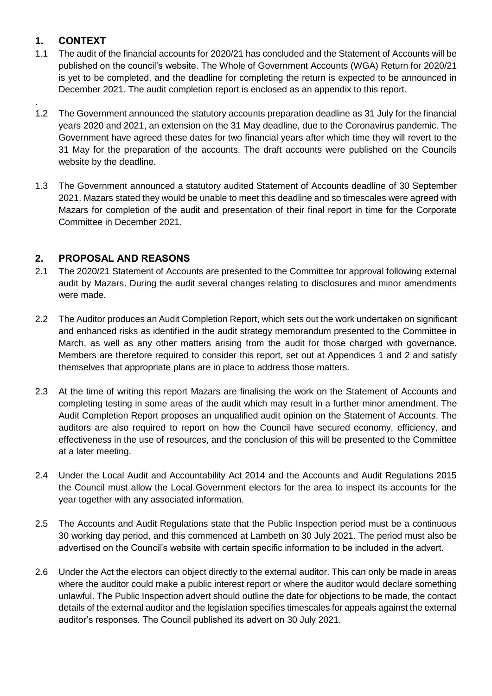## **1. CONTEXT**

.

- 1.1 The audit of the financial accounts for 2020/21 has concluded and the Statement of Accounts will be published on the council's website. The Whole of Government Accounts (WGA) Return for 2020/21 is yet to be completed, and the deadline for completing the return is expected to be announced in December 2021. The audit completion report is enclosed as an appendix to this report.
- 1.2 The Government announced the statutory accounts preparation deadline as 31 July for the financial years 2020 and 2021, an extension on the 31 May deadline, due to the Coronavirus pandemic. The Government have agreed these dates for two financial years after which time they will revert to the 31 May for the preparation of the accounts. The draft accounts were published on the Councils website by the deadline.
- 1.3 The Government announced a statutory audited Statement of Accounts deadline of 30 September 2021. Mazars stated they would be unable to meet this deadline and so timescales were agreed with Mazars for completion of the audit and presentation of their final report in time for the Corporate Committee in December 2021.

## **2. PROPOSAL AND REASONS**

- 2.1 The 2020/21 Statement of Accounts are presented to the Committee for approval following external audit by Mazars. During the audit several changes relating to disclosures and minor amendments were made.
- 2.2 The Auditor produces an Audit Completion Report, which sets out the work undertaken on significant and enhanced risks as identified in the audit strategy memorandum presented to the Committee in March, as well as any other matters arising from the audit for those charged with governance. Members are therefore required to consider this report, set out at Appendices 1 and 2 and satisfy themselves that appropriate plans are in place to address those matters.
- 2.3 At the time of writing this report Mazars are finalising the work on the Statement of Accounts and completing testing in some areas of the audit which may result in a further minor amendment. The Audit Completion Report proposes an unqualified audit opinion on the Statement of Accounts. The auditors are also required to report on how the Council have secured economy, efficiency, and effectiveness in the use of resources, and the conclusion of this will be presented to the Committee at a later meeting.
- 2.4 Under the Local Audit and Accountability Act 2014 and the Accounts and Audit Regulations 2015 the Council must allow the Local Government electors for the area to inspect its accounts for the year together with any associated information.
- 2.5 The Accounts and Audit Regulations state that the Public Inspection period must be a continuous 30 working day period, and this commenced at Lambeth on 30 July 2021. The period must also be advertised on the Council's website with certain specific information to be included in the advert.
- 2.6 Under the Act the electors can object directly to the external auditor. This can only be made in areas where the auditor could make a public interest report or where the auditor would declare something unlawful. The Public Inspection advert should outline the date for objections to be made, the contact details of the external auditor and the legislation specifies timescales for appeals against the external auditor's responses. The Council published its advert on 30 July 2021.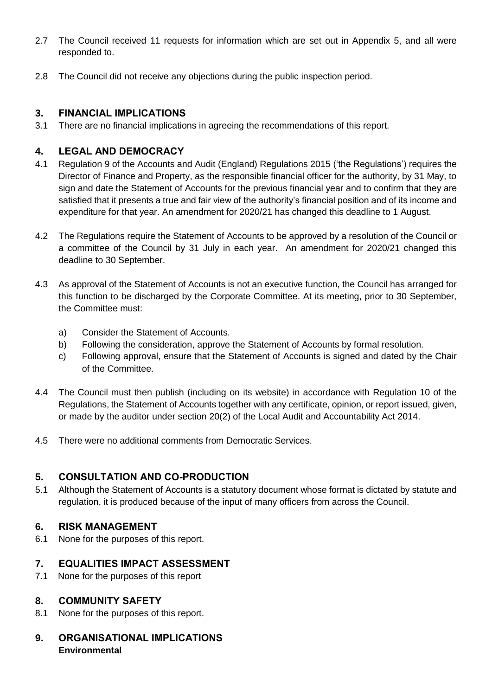- 2.7 The Council received 11 requests for information which are set out in Appendix 5, and all were responded to.
- 2.8 The Council did not receive any objections during the public inspection period.

#### **3. FINANCIAL IMPLICATIONS**

3.1 There are no financial implications in agreeing the recommendations of this report.

## **4. LEGAL AND DEMOCRACY**

- 4.1 Regulation 9 of the Accounts and Audit (England) Regulations 2015 ('the Regulations') requires the Director of Finance and Property, as the responsible financial officer for the authority, by 31 May, to sign and date the Statement of Accounts for the previous financial year and to confirm that they are satisfied that it presents a true and fair view of the authority's financial position and of its income and expenditure for that year. An amendment for 2020/21 has changed this deadline to 1 August.
- 4.2 The Regulations require the Statement of Accounts to be approved by a resolution of the Council or a committee of the Council by 31 July in each year. An amendment for 2020/21 changed this deadline to 30 September.
- 4.3 As approval of the Statement of Accounts is not an executive function, the Council has arranged for this function to be discharged by the Corporate Committee. At its meeting, prior to 30 September, the Committee must:
	- a) Consider the Statement of Accounts.
	- b) Following the consideration, approve the Statement of Accounts by formal resolution.
	- c) Following approval, ensure that the Statement of Accounts is signed and dated by the Chair of the Committee.
- 4.4 The Council must then publish (including on its website) in accordance with Regulation 10 of the Regulations, the Statement of Accounts together with any certificate, opinion, or report issued, given, or made by the auditor under section 20(2) of the Local Audit and Accountability Act 2014.
- 4.5 There were no additional comments from Democratic Services.

## **5. CONSULTATION AND CO-PRODUCTION**

5.1 Although the Statement of Accounts is a statutory document whose format is dictated by statute and regulation, it is produced because of the input of many officers from across the Council.

## **6. RISK MANAGEMENT**

6.1 None for the purposes of this report.

## **7. EQUALITIES IMPACT ASSESSMENT**

7.1 None for the purposes of this report

## **8. COMMUNITY SAFETY**

- 8.1 None for the purposes of this report.
- **9. ORGANISATIONAL IMPLICATIONS Environmental**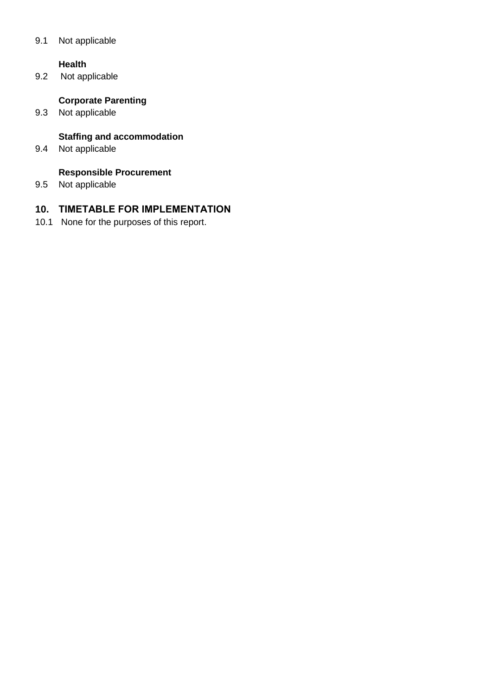#### 9.1 Not applicable

#### **Health**

9.2 Not applicable

## **Corporate Parenting**

9.3 Not applicable

## **Staffing and accommodation**

9.4 Not applicable

#### **Responsible Procurement**

9.5 Not applicable

## **10. TIMETABLE FOR IMPLEMENTATION**

10.1 None for the purposes of this report.